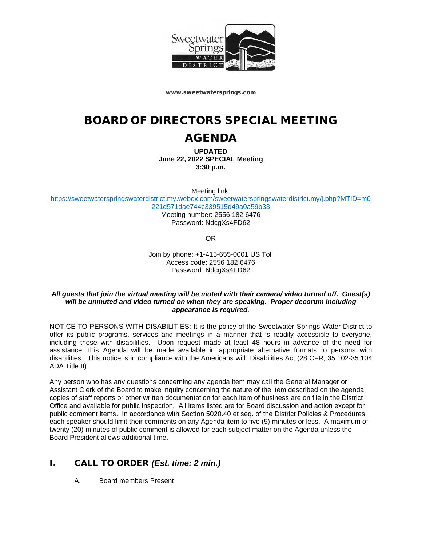

www.sweetwatersprings.com

# BOARD OF DIRECTORS SPECIAL MEETING

## AGENDA

**UPDATED June 22, 2022 SPECIAL Meeting 3:30 p.m.**

Meeting link:

[https://sweetwaterspringswaterdistrict.my.webex.com/sweetwaterspringswaterdistrict.my/j.php?MTID=m0](https://sweetwaterspringswaterdistrict.my.webex.com/sweetwaterspringswaterdistrict.my/j.php?MTID=m0221d571dae744c339515d49a0a59b33) [221d571dae744c339515d49a0a59b33](https://sweetwaterspringswaterdistrict.my.webex.com/sweetwaterspringswaterdistrict.my/j.php?MTID=m0221d571dae744c339515d49a0a59b33)

> Meeting number: 2556 182 6476 Password: NdcgXs4FD62

> > OR

Join by phone: +1-415-655-0001 US Toll Access code: 2556 182 6476 Password: NdcgXs4FD62

#### *All guests that join the virtual meeting will be muted with their camera/ video turned off. Guest(s) will be unmuted and video turned on when they are speaking. Proper decorum including appearance is required.*

NOTICE TO PERSONS WITH DISABILITIES: It is the policy of the Sweetwater Springs Water District to offer its public programs, services and meetings in a manner that is readily accessible to everyone, including those with disabilities. Upon request made at least 48 hours in advance of the need for assistance, this Agenda will be made available in appropriate alternative formats to persons with disabilities. This notice is in compliance with the Americans with Disabilities Act (28 CFR, 35.102-35.104 ADA Title II).

Any person who has any questions concerning any agenda item may call the General Manager or Assistant Clerk of the Board to make inquiry concerning the nature of the item described on the agenda; copies of staff reports or other written documentation for each item of business are on file in the District Office and available for public inspection. All items listed are for Board discussion and action except for public comment items. In accordance with Section 5020.40 et seq. of the District Policies & Procedures, each speaker should limit their comments on any Agenda item to five (5) minutes or less. A maximum of twenty (20) minutes of public comment is allowed for each subject matter on the Agenda unless the Board President allows additional time.

## I. CALL TO ORDER *(Est. time: 2 min.)*

A. Board members Present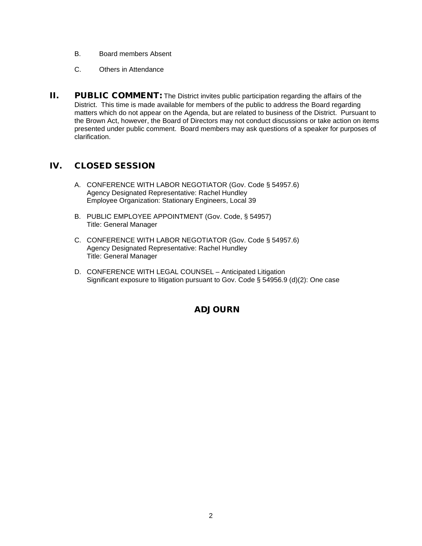- B. Board members Absent
- C. Others in Attendance
- II. PUBLIC COMMENT: The District invites public participation regarding the affairs of the District. This time is made available for members of the public to address the Board regarding matters which do not appear on the Agenda, but are related to business of the District. Pursuant to the Brown Act, however, the Board of Directors may not conduct discussions or take action on items presented under public comment. Board members may ask questions of a speaker for purposes of clarification.

### IV. CLOSED SESSION

- A. CONFERENCE WITH LABOR NEGOTIATOR (Gov. Code § 54957.6) Agency Designated Representative: Rachel Hundley Employee Organization: Stationary Engineers, Local 39
- B. PUBLIC EMPLOYEE APPOINTMENT (Gov. Code, § 54957) Title: General Manager
- C. CONFERENCE WITH LABOR NEGOTIATOR (Gov. Code § 54957.6) Agency Designated Representative: Rachel Hundley Title: General Manager
- D. CONFERENCE WITH LEGAL COUNSEL Anticipated Litigation Significant exposure to litigation pursuant to Gov. Code § 54956.9 (d)(2): One case

#### ADJOURN